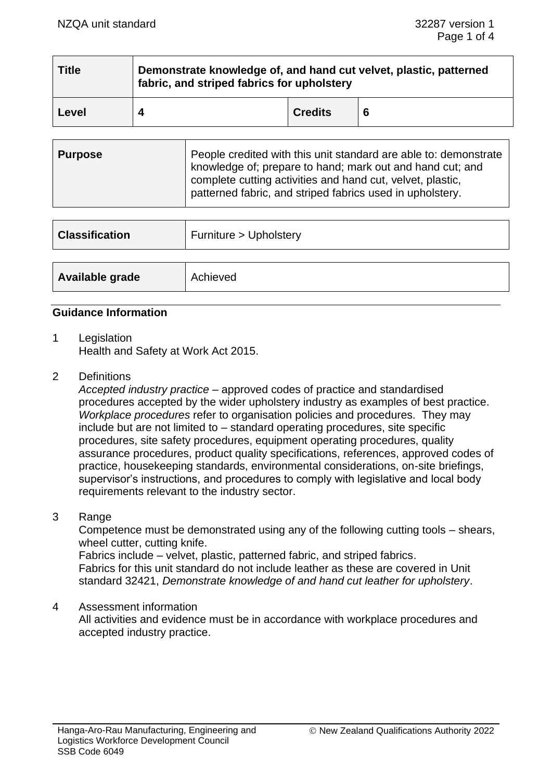| Title | Demonstrate knowledge of, and hand cut velvet, plastic, patterned<br>fabric, and striped fabrics for upholstery |                |   |  |  |
|-------|-----------------------------------------------------------------------------------------------------------------|----------------|---|--|--|
| Level |                                                                                                                 | <b>Credits</b> | 6 |  |  |

| Purpose<br>knowledge of; prepare to hand; mark out and hand cut; and<br>complete cutting activities and hand cut, velvet, plastic,<br>patterned fabric, and striped fabrics used in upholstery. |  | People credited with this unit standard are able to: demonstrate |
|-------------------------------------------------------------------------------------------------------------------------------------------------------------------------------------------------|--|------------------------------------------------------------------|
|-------------------------------------------------------------------------------------------------------------------------------------------------------------------------------------------------|--|------------------------------------------------------------------|

| <b>Classification</b> | Furniture > Upholstery |
|-----------------------|------------------------|
|                       |                        |
| Available grade       | Achieved               |

#### **Guidance Information**

- 1 Legislation Health and Safety at Work Act 2015.
- 2 Definitions

*Accepted industry practice* – approved codes of practice and standardised procedures accepted by the wider upholstery industry as examples of best practice. *Workplace procedures* refer to organisation policies and procedures. They may include but are not limited to – standard operating procedures, site specific procedures, site safety procedures, equipment operating procedures, quality assurance procedures, product quality specifications, references, approved codes of practice, housekeeping standards, environmental considerations, on-site briefings, supervisor's instructions, and procedures to comply with legislative and local body requirements relevant to the industry sector.

#### 3 Range

Competence must be demonstrated using any of the following cutting tools – shears, wheel cutter, cutting knife. Fabrics include – velvet, plastic, patterned fabric, and striped fabrics.

Fabrics for this unit standard do not include leather as these are covered in Unit standard 32421, *Demonstrate knowledge of and hand cut leather for upholstery*.

#### 4 Assessment information

All activities and evidence must be in accordance with workplace procedures and accepted industry practice.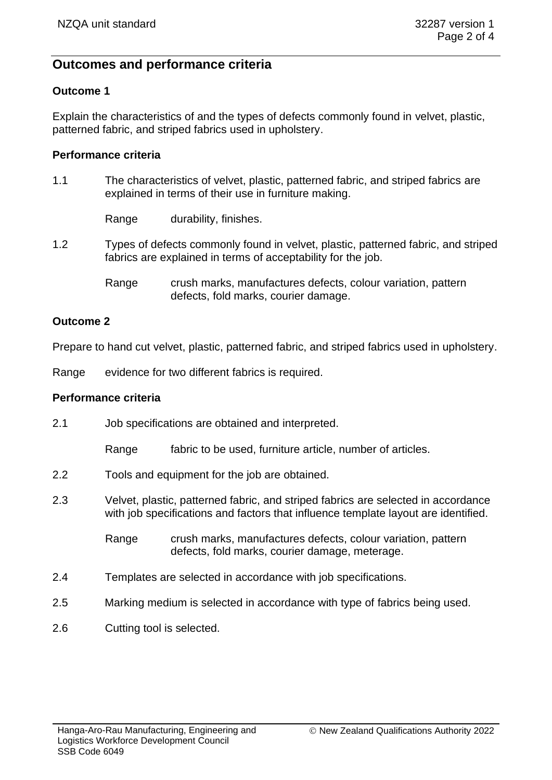# **Outcomes and performance criteria**

# **Outcome 1**

Explain the characteristics of and the types of defects commonly found in velvet, plastic, patterned fabric, and striped fabrics used in upholstery.

### **Performance criteria**

1.1 The characteristics of velvet, plastic, patterned fabric, and striped fabrics are explained in terms of their use in furniture making.

Range durability, finishes.

- 1.2 Types of defects commonly found in velvet, plastic, patterned fabric, and striped fabrics are explained in terms of acceptability for the job.
	- Range crush marks, manufactures defects, colour variation, pattern defects, fold marks, courier damage.

# **Outcome 2**

Prepare to hand cut velvet, plastic, patterned fabric, and striped fabrics used in upholstery.

Range evidence for two different fabrics is required.

#### **Performance criteria**

- 2.1 Job specifications are obtained and interpreted.
	- Range fabric to be used, furniture article, number of articles.
- 2.2 Tools and equipment for the job are obtained.
- 2.3 Velvet, plastic, patterned fabric, and striped fabrics are selected in accordance with job specifications and factors that influence template layout are identified.
	- Range crush marks, manufactures defects, colour variation, pattern defects, fold marks, courier damage, meterage.
- 2.4 Templates are selected in accordance with job specifications.
- 2.5 Marking medium is selected in accordance with type of fabrics being used.
- 2.6 Cutting tool is selected.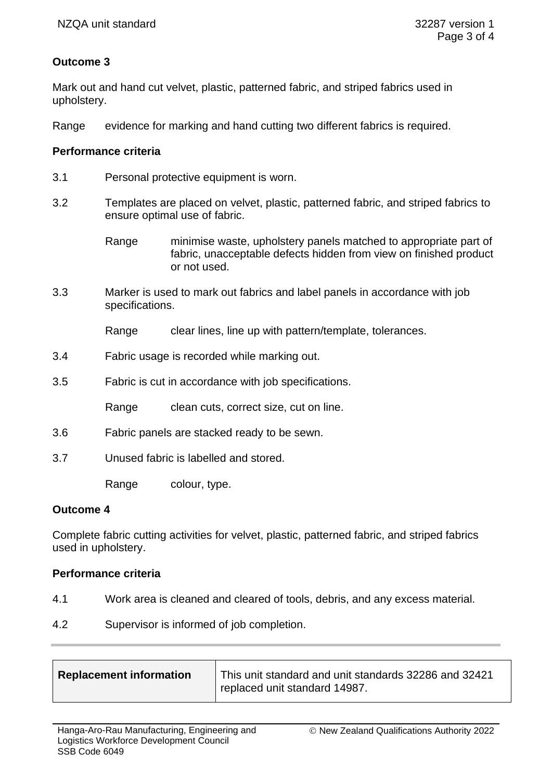# **Outcome 3**

Mark out and hand cut velvet, plastic, patterned fabric, and striped fabrics used in upholstery.

Range evidence for marking and hand cutting two different fabrics is required.

# **Performance criteria**

- 3.1 Personal protective equipment is worn.
- 3.2 Templates are placed on velvet, plastic, patterned fabric, and striped fabrics to ensure optimal use of fabric.
	- Range minimise waste, upholstery panels matched to appropriate part of fabric, unacceptable defects hidden from view on finished product or not used.
- 3.3 Marker is used to mark out fabrics and label panels in accordance with job specifications.

Range clear lines, line up with pattern/template, tolerances.

- 3.4 Fabric usage is recorded while marking out.
- 3.5 Fabric is cut in accordance with job specifications.

Range clean cuts, correct size, cut on line.

- 3.6 Fabric panels are stacked ready to be sewn.
- 3.7 Unused fabric is labelled and stored.

Range colour, type.

#### **Outcome 4**

Complete fabric cutting activities for velvet, plastic, patterned fabric, and striped fabrics used in upholstery.

#### **Performance criteria**

- 4.1 Work area is cleaned and cleared of tools, debris, and any excess material.
- 4.2 Supervisor is informed of job completion.

| <b>Replacement information</b> | This unit standard and unit standards 32286 and 32421 |
|--------------------------------|-------------------------------------------------------|
|                                | I replaced unit standard 14987.                       |